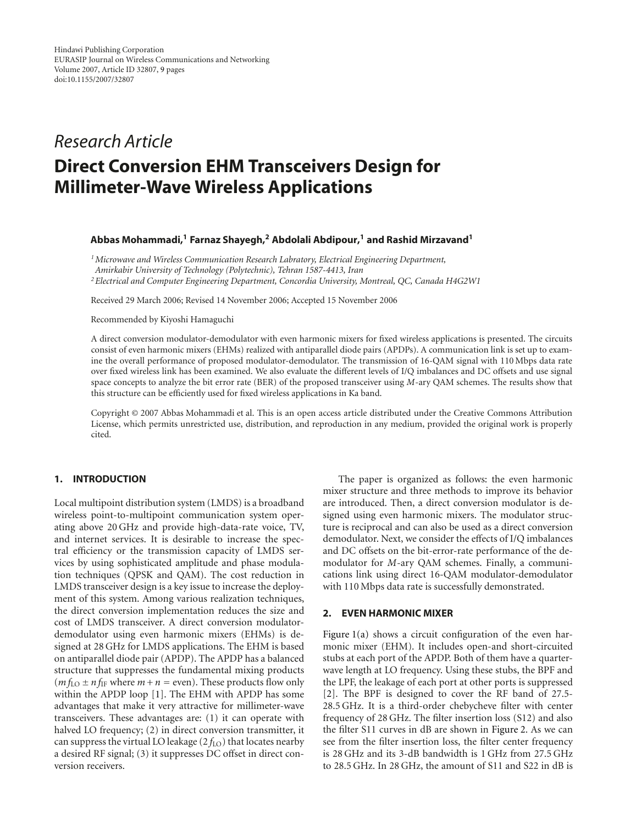# *Research Article* **Direct Conversion EHM Transceivers Design for Millimeter-Wave Wireless Applications**

## **Abbas Mohammadi,1 Farnaz Shayegh,2 Abdolali Abdipour,1 and Rashid Mirzavand1**

*1Microwave and Wireless Communication Research Labratory, Electrical Engineering Department, Amirkabir University of Technology (Polytechnic), Tehran 1587-4413, Iran 2Electrical and Computer Engineering Department, Concordia University, Montreal, QC, Canada H4G2W1*

Received 29 March 2006; Revised 14 November 2006; Accepted 15 November 2006

Recommended by Kiyoshi Hamaguchi

A direct conversion modulator-demodulator with even harmonic mixers for fixed wireless applications is presented. The circuits consist of even harmonic mixers (EHMs) realized with antiparallel diode pairs (APDPs). A communication link is set up to examine the overall performance of proposed modulator-demodulator. The transmission of 16-QAM signal with 110 Mbps data rate over fixed wireless link has been examined. We also evaluate the different levels of I/Q imbalances and DC offsets and use signal space concepts to analyze the bit error rate (BER) of the proposed transceiver using *M*-ary QAM schemes. The results show that this structure can be efficiently used for fixed wireless applications in Ka band.

Copyright © 2007 Abbas Mohammadi et al. This is an open access article distributed under the Creative Commons Attribution License, which permits unrestricted use, distribution, and reproduction in any medium, provided the original work is properly cited.

## **1. INTRODUCTION**

Local multipoint distribution system (LMDS) is a broadband wireless point-to-multipoint communication system operating above 20 GHz and provide high-data-rate voice, TV, and internet services. It is desirable to increase the spectral efficiency or the transmission capacity of LMDS services by using sophisticated amplitude and phase modulation techniques (QPSK and QAM). The cost reduction in LMDS transceiver design is a key issue to increase the deployment of this system. Among various realization techniques, the direct conversion implementation reduces the size and cost of LMDS transceiver. A direct conversion modulatordemodulator using even harmonic mixers (EHMs) is designed at 28 GHz for LMDS applications. The EHM is based on antiparallel diode pair (APDP). The APDP has a balanced structure that suppresses the fundamental mixing products  $(m f<sub>LO</sub> \pm n f<sub>IF</sub>$  where  $m + n =$  even). These products flow only within the APDP loop [\[1\]](#page-8-1). The EHM with APDP has some advantages that make it very attractive for millimeter-wave transceivers. These advantages are: (1) it can operate with halved LO frequency; (2) in direct conversion transmitter, it can suppress the virtual LO leakage  $(2 f_{\text{LO}})$  that locates nearby a desired RF signal; (3) it suppresses DC offset in direct conversion receivers.

The paper is organized as follows: the even harmonic mixer structure and three methods to improve its behavior are introduced. Then, a direct conversion modulator is designed using even harmonic mixers. The modulator structure is reciprocal and can also be used as a direct conversion demodulator. Next, we consider the effects of I/Q imbalances and DC offsets on the bit-error-rate performance of the demodulator for *M*-ary QAM schemes. Finally, a communications link using direct 16-QAM modulator-demodulator with 110 Mbps data rate is successfully demonstrated.

## **2. EVEN HARMONIC MIXER**

[Figure 1\(a\)](#page-1-0) shows a circuit configuration of the even harmonic mixer (EHM). It includes open-and short-circuited stubs at each port of the APDP. Both of them have a quarterwave length at LO frequency. Using these stubs, the BPF and the LPF, the leakage of each port at other ports is suppressed [\[2\]](#page-8-2). The BPF is designed to cover the RF band of 27.5- 28.5 GHz. It is a third-order chebycheve filter with center frequency of 28 GHz. The filter insertion loss (S12) and also the filter S11 curves in dB are shown in [Figure 2.](#page-1-1) As we can see from the filter insertion loss, the filter center frequency is 28 GHz and its 3-dB bandwidth is 1 GHz from 27.5 GHz to 28.5 GHz. In 28 GHz, the amount of S11 and S22 in dB is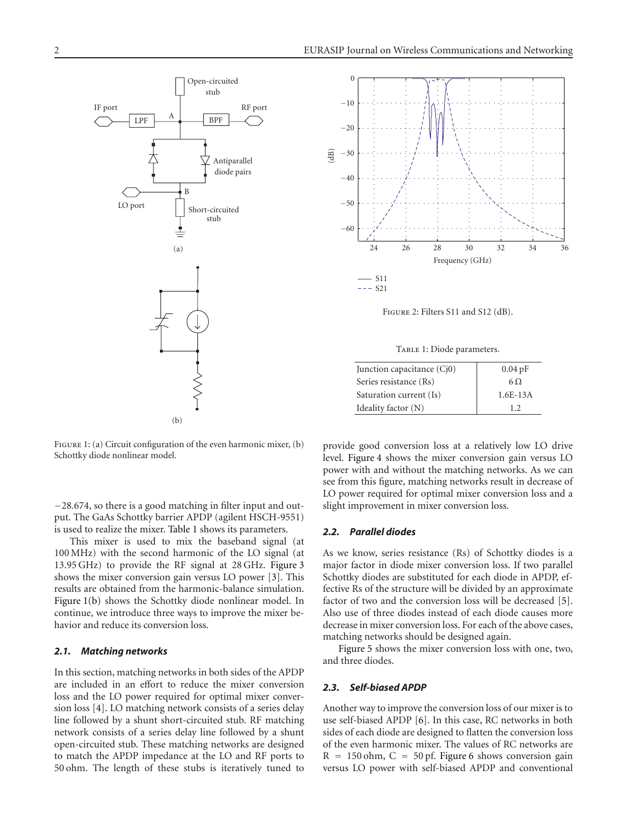<span id="page-1-0"></span>

<span id="page-1-3"></span>FIGURE 1: (a) Circuit configuration of the even harmonic mixer, (b) Schottky diode nonlinear model.

<sup>−</sup>28*.*674, so there is a good matching in filter input and output. The GaAs Schottky barrier APDP (agilent HSCH-9551) is used to realize the mixer. [Table 1](#page-1-2) shows its parameters.

This mixer is used to mix the baseband signal (at 100 MHz) with the second harmonic of the LO signal (at 13.95 GHz) to provide the RF signal at 28 GHz. [Figure 3](#page-2-0) shows the mixer conversion gain versus LO power [\[3\]](#page-8-3). This results are obtained from the harmonic-balance simulation. [Figure 1\(b\)](#page-1-3) shows the Schottky diode nonlinear model. In continue, we introduce three ways to improve the mixer behavior and reduce its conversion loss.

# *2.1. Matching networks*

In this section, matching networks in both sides of the APDP are included in an effort to reduce the mixer conversion loss and the LO power required for optimal mixer conversion loss [\[4](#page-8-4)]. LO matching network consists of a series delay line followed by a shunt short-circuited stub. RF matching network consists of a series delay line followed by a shunt open-circuited stub. These matching networks are designed to match the APDP impedance at the LO and RF ports to 50 ohm. The length of these stubs is iteratively tuned to



<span id="page-1-1"></span>Figure 2: Filters S11 and S12 (dB).

TABLE 1: Diode parameters.

<span id="page-1-2"></span>

| Junction capacitance (Cj0) | $0.04$ pF  |
|----------------------------|------------|
| Series resistance (Rs)     | 6 Q        |
| Saturation current (Is)    | $1.6E-13A$ |
| Ideality factor (N)        | 12         |

provide good conversion loss at a relatively low LO drive level. [Figure 4](#page-2-1) shows the mixer conversion gain versus LO power with and without the matching networks. As we can see from this figure, matching networks result in decrease of LO power required for optimal mixer conversion loss and a slight improvement in mixer conversion loss.

#### *2.2. Parallel diodes*

As we know, series resistance (Rs) of Schottky diodes is a major factor in diode mixer conversion loss. If two parallel Schottky diodes are substituted for each diode in APDP, effective Rs of the structure will be divided by an approximate factor of two and the conversion loss will be decreased [\[5](#page-8-5)]. Also use of three diodes instead of each diode causes more decrease in mixer conversion loss. For each of the above cases, matching networks should be designed again.

[Figure 5](#page-2-2) shows the mixer conversion loss with one, two, and three diodes.

#### *2.3. Self-biased APDP*

Another way to improve the conversion loss of our mixer is to use self-biased APDP [\[6\]](#page-8-6). In this case, RC networks in both sides of each diode are designed to flatten the conversion loss of the even harmonic mixer. The values of RC networks are  $R = 150$  ohm,  $C = 50$  pf. [Figure 6](#page-2-3) shows conversion gain versus LO power with self-biased APDP and conventional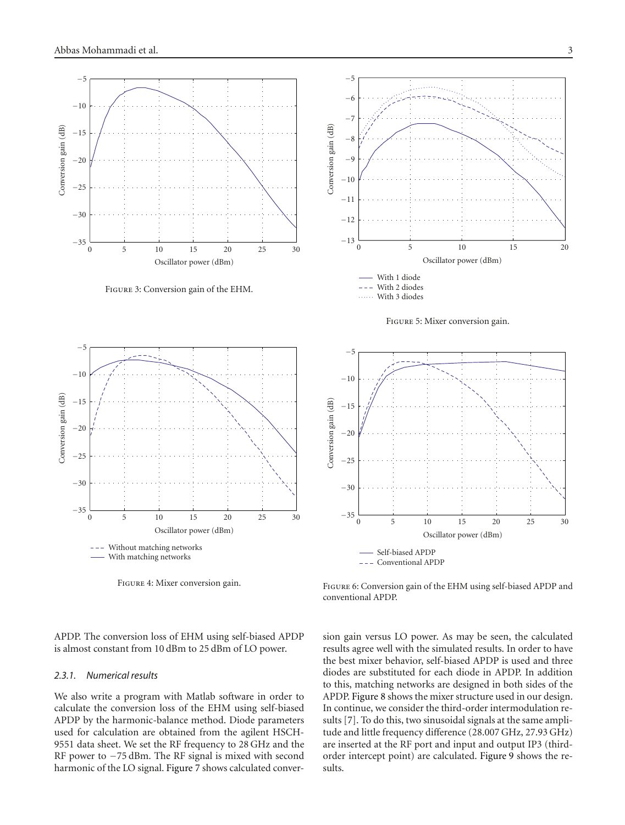

<span id="page-2-0"></span>Figure 3: Conversion gain of the EHM.



<span id="page-2-1"></span>Figure 4: Mixer conversion gain.

<span id="page-2-3"></span>Figure 6: Conversion gain of the EHM using self-biased APDP and conventional APDP.

APDP. The conversion loss of EHM using self-biased APDP is almost constant from 10 dBm to 25 dBm of LO power.

#### *2.3.1. Numerical results*

We also write a program with Matlab software in order to calculate the conversion loss of the EHM using self-biased APDP by the harmonic-balance method. Diode parameters used for calculation are obtained from the agilent HSCH-9551 data sheet. We set the RF frequency to 28 GHz and the RF power to −75 dBm. The RF signal is mixed with second harmonic of the LO signal. [Figure 7](#page-3-0) shows calculated conver-



<span id="page-2-2"></span>



sion gain versus LO power. As may be seen, the calculated results agree well with the simulated results. In order to have the best mixer behavior, self-biased APDP is used and three diodes are substituted for each diode in APDP. In addition to this, matching networks are designed in both sides of the APDP. [Figure 8](#page-4-0) shows the mixer structure used in our design.

In continue, we consider the third-order intermodulation results [\[7\]](#page-8-7). To do this, two sinusoidal signals at the same amplitude and little frequency difference (28.007 GHz, 27.93 GHz) are inserted at the RF port and input and output IP3 (thirdorder intercept point) are calculated. [Figure 9](#page-4-1) shows the results.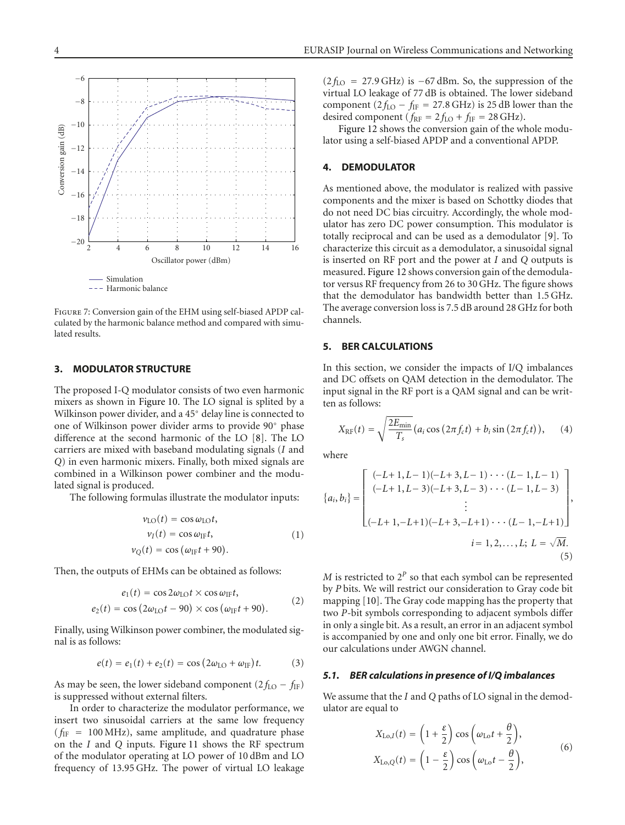



<span id="page-3-0"></span>Figure 7: Conversion gain of the EHM using self-biased APDP calculated by the harmonic balance method and compared with simulated results.

#### **3. MODULATOR STRUCTURE**

The proposed I-Q modulator consists of two even harmonic mixers as shown in [Figure 10.](#page-4-2) The LO signal is splited by a Wilkinson power divider, and a 45◦ delay line is connected to one of Wilkinson power divider arms to provide 90◦ phase difference at the second harmonic of the LO [\[8](#page-8-8)]. The LO carriers are mixed with baseband modulating signals (*I* and *Q*) in even harmonic mixers. Finally, both mixed signals are combined in a Wilkinson power combiner and the modulated signal is produced.

The following formulas illustrate the modulator inputs:

$$
\nu_{LO}(t) = \cos \omega_{LO}t,\n\nu_I(t) = \cos \omega_{IF}t,\n\nu_Q(t) = \cos (\omega_{IF}t + 90).
$$
\n(1)

Then, the outputs of EHMs can be obtained as follows:

$$
e_1(t) = \cos 2\omega_{\text{LO}}t \times \cos \omega_{\text{IF}}t,
$$
  
\n
$$
e_2(t) = \cos (2\omega_{\text{LO}}t - 90) \times \cos (\omega_{\text{IF}}t + 90).
$$
 (2)

Finally, using Wilkinson power combiner, the modulated signal is as follows:

$$
e(t) = e_1(t) + e_2(t) = \cos(2\omega_{LO} + \omega_{IF})t.
$$
 (3)

As may be seen, the lower sideband component  $(2 f_{LO} - f_{IF})$ is suppressed without external filters.

In order to characterize the modulator performance, we insert two sinusoidal carriers at the same low frequency  $(f_{IF} = 100 MHz)$ , same amplitude, and quadrature phase on the *I* and *Q* inputs. [Figure 11](#page-4-3) shows the RF spectrum of the modulator operating at LO power of 10 dBm and LO frequency of 13.95 GHz. The power of virtual LO leakage  $(2 f_{\text{LO}} = 27.9 \text{ GHz})$  is  $-67 \text{ dBm}$ . So, the suppression of the virtual LO leakage of 77 dB is obtained. The lower sideband component  $(2 f_{LO} - f_{IF} = 27.8 \text{ GHz})$  is 25 dB lower than the desired component ( $f_{RF} = 2 f_{LO} + f_{IF} = 28 \text{ GHz}$ ).

[Figure 12](#page-5-0) shows the conversion gain of the whole modulator using a self-biased APDP and a conventional APDP.

#### **4. DEMODULATOR**

As mentioned above, the modulator is realized with passive components and the mixer is based on Schottky diodes that do not need DC bias circuitry. Accordingly, the whole modulator has zero DC power consumption. This modulator is totally reciprocal and can be used as a demodulator [\[9](#page-8-9)]. To characterize this circuit as a demodulator, a sinusoidal signal is inserted on RF port and the power at *I* and *Q* outputs is measured. [Figure 12](#page-5-0) shows conversion gain of the demodulator versus RF frequency from 26 to 30 GHz. The figure shows that the demodulator has bandwidth better than 1.5 GHz. The average conversion loss is 7.5 dB around 28 GHz for both channels.

## **5. BER CALCULATIONS**

In this section, we consider the impacts of I/Q imbalances and DC offsets on QAM detection in the demodulator. The input signal in the RF port is a QAM signal and can be written as follows:

$$
X_{\rm RF}(t) = \sqrt{\frac{2E_{\rm min}}{T_s}} \left( a_i \cos \left( 2\pi f_c t \right) + b_i \sin \left( 2\pi f_c t \right) \right), \quad (4)
$$

where

$$
\{a_i, b_i\} = \begin{bmatrix} (-L+1, L-1)(-L+3, L-1) \cdots (L-1, L-1) \\ (-L+1, L-3)(-L+3, L-3) \cdots (L-1, L-3) \\ \vdots \\ (-L+1, -L+1)(-L+3, -L+1) \cdots (L-1, -L+1) \end{bmatrix},
$$
  
 $i = 1, 2, ..., L; L = \sqrt{M}.$  (5)

*M* is restricted to  $2^P$  so that each symbol can be represented by *P* bits. We will restrict our consideration to Gray code bit mapping [\[10](#page-8-10)]. The Gray code mapping has the property that two *P*-bit symbols corresponding to adjacent symbols differ in only a single bit. As a result, an error in an adjacent symbol is accompanied by one and only one bit error. Finally, we do our calculations under AWGN channel.

#### *5.1. BER calculations in presence of I/Q imbalances*

We assume that the *I* and *Q* paths of LO signal in the demodulator are equal to

$$
X_{\text{Lo},I}(t) = \left(1 + \frac{\varepsilon}{2}\right)\cos\left(\omega_{\text{Lo}}t + \frac{\theta}{2}\right),
$$
  

$$
X_{\text{Lo},Q}(t) = \left(1 - \frac{\varepsilon}{2}\right)\cos\left(\omega_{\text{Lo}}t - \frac{\theta}{2}\right),
$$
 (6)

−6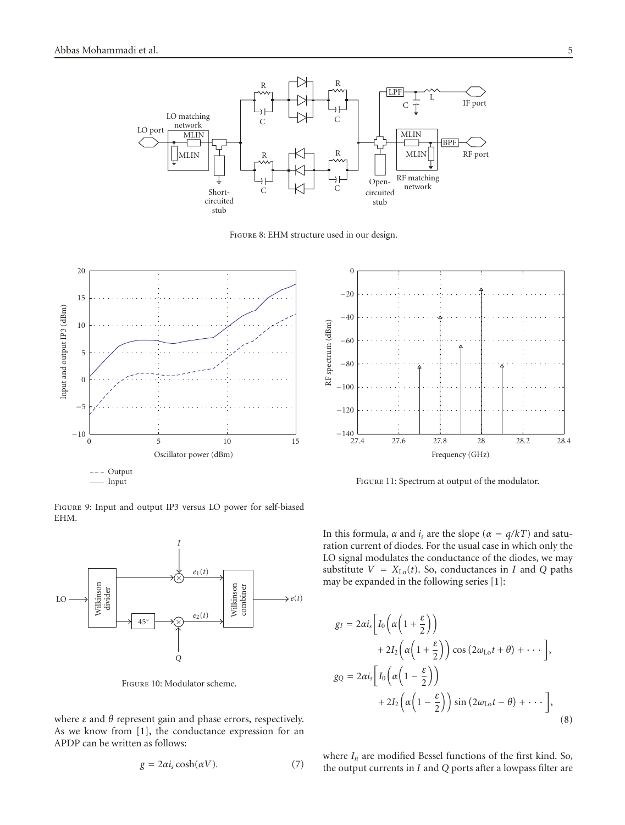

<span id="page-4-0"></span>Figure 8: EHM structure used in our design.



Figure 9: Input and output IP3 versus LO power for self-biased EHM.

<span id="page-4-1"></span>

<span id="page-4-2"></span>Figure 10: Modulator scheme.

where *ε* and *θ* represent gain and phase errors, respectively. As we know from [\[1](#page-8-1)], the conductance expression for an APDP can be written as follows:

$$
g = 2\alpha i_s \cosh(\alpha V). \tag{7}
$$



<span id="page-4-3"></span>Figure 11: Spectrum at output of the modulator.

In this formula, *α* and *i<sub>s</sub>* are the slope ( $\alpha = q/kT$ ) and saturation current of diodes. For the usual case in which only the LO signal modulates the conductance of the diodes, we may substitute  $V = X_{Lo}(t)$ . So, conductances in *I* and *Q* paths may be expanded in the following series [\[1\]](#page-8-1):

$$
g_I = 2\alpha i_s \left[ I_0 \left( \alpha \left( 1 + \frac{\varepsilon}{2} \right) \right) + 2I_2 \left( \alpha \left( 1 + \frac{\varepsilon}{2} \right) \right) \cos \left( 2\omega_{\text{Lo}} t + \theta \right) + \cdots \right],
$$
  
\n
$$
g_Q = 2\alpha i_s \left[ I_0 \left( \alpha \left( 1 - \frac{\varepsilon}{2} \right) \right) + 2I_2 \left( \alpha \left( 1 - \frac{\varepsilon}{2} \right) \right) \sin \left( 2\omega_{\text{Lo}} t - \theta \right) + \cdots \right],
$$
\n(8)

where  $I_n$  are modified Bessel functions of the first kind. So, the output currents in *I* and *Q* ports after a lowpass filter are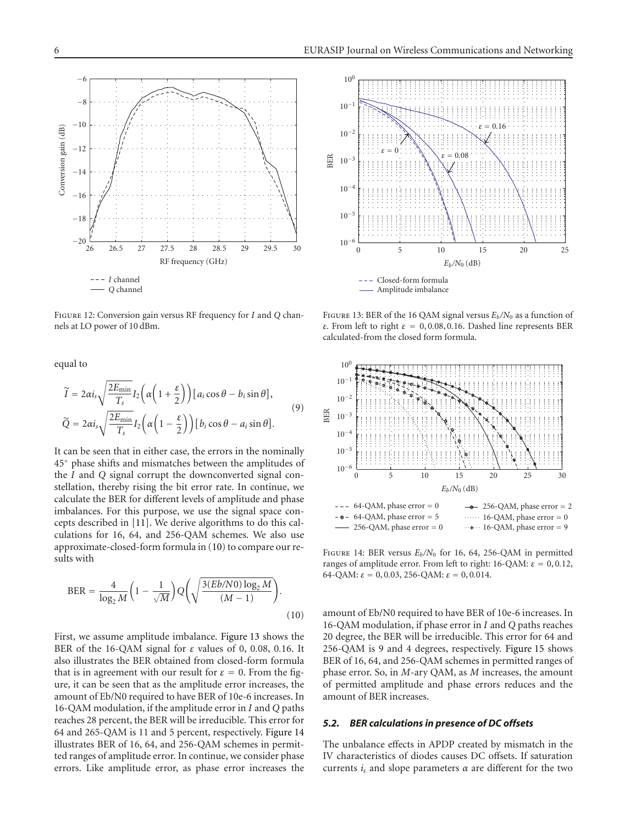

<span id="page-5-0"></span>Figure 12: Conversion gain versus RF frequency for *I* and *Q* channels at LO power of 10 dBm.

equal to

$$
\widetilde{I} = 2\alpha i_s \sqrt{\frac{2E_{\min}}{T_s}} I_2 \left( \alpha \left( 1 + \frac{\varepsilon}{2} \right) \right) [a_i \cos \theta - b_i \sin \theta],
$$
\n
$$
\widetilde{Q} = 2\alpha i_s \sqrt{\frac{2E_{\min}}{T_s}} I_2 \left( \alpha \left( 1 - \frac{\varepsilon}{2} \right) \right) [b_i \cos \theta - a_i \sin \theta].
$$
\n(9)

It can be seen that in either case, the errors in the nominally 45◦ phase shifts and mismatches between the amplitudes of the *I* and *Q* signal corrupt the downconverted signal constellation, thereby rising the bit error rate. In continue, we calculate the BER for different levels of amplitude and phase imbalances. For this purpose, we use the signal space concepts described in [\[11\]](#page-8-11). We derive algorithms to do this calculations for 16, 64, and 256-QAM schemes. We also use approximate-closed-form formula in [\(10\)](#page-5-1) to compare our results with

$$
BER = \frac{4}{\log_2 M} \left( 1 - \frac{1}{\sqrt{M}} \right) Q \left( \sqrt{\frac{3(Eb/N0) \log_2 M}{(M-1)}} \right). \tag{10}
$$

First, we assume amplitude imbalance. [Figure 13](#page-5-2) shows the BER of the 16-QAM signal for *ε* values of 0, 0*.*08, 0*.*16. It also illustrates the BER obtained from closed-form formula that is in agreement with our result for  $\varepsilon = 0$ . From the figure, it can be seen that as the amplitude error increases, the amount of Eb/N0 required to have BER of 10e-6 increases. In 16-QAM modulation, if the amplitude error in *I* and *Q* paths reaches 28 percent, the BER will be irreducible. This error for 64 and 265-QAM is 11 and 5 percent, respectively. [Figure 14](#page-5-3) illustrates BER of 16, 64, and 256-QAM schemes in permitted ranges of amplitude error. In continue, we consider phase errors. Like amplitude error, as phase error increases the



<span id="page-5-2"></span>FIGURE 13: BER of the 16 QAM signal versus  $E_b/N_0$  as a function of *ε*. From left to right *ε* <sup>=</sup> 0, 0*.*08, 0*.*16. Dashed line represents BER calculated-from the closed form formula.



<span id="page-5-3"></span>FIGURE 14: BER versus  $E_b/N_0$  for 16, 64, 256-QAM in permitted ranges of amplitude error. From left to right: 16-QAM: *ε* <sup>=</sup> 0, 0*.*12, 64-QAM:  $\varepsilon = 0, 0.03, 256$ -QAM:  $\varepsilon = 0, 0.014$ .

<span id="page-5-1"></span>amount of Eb/N0 required to have BER of 10e-6 increases. In 16-QAM modulation, if phase error in *I* and *Q* paths reaches 20 degree, the BER will be irreducible. This error for 64 and 256-QAM is 9 and 4 degrees, respectively. [Figure 15](#page-6-0) shows BER of 16, 64, and 256-QAM schemes in permitted ranges of phase error. So, in *M*-ary QAM, as *M* increases, the amount of permitted amplitude and phase errors reduces and the amount of BER increases.

#### *5.2. BER calculations in presence of DC offsets*

The unbalance effects in APDP created by mismatch in the IV characteristics of diodes causes DC offsets. If saturation currents *is* and slope parameters *<sup>α</sup>* are different for the two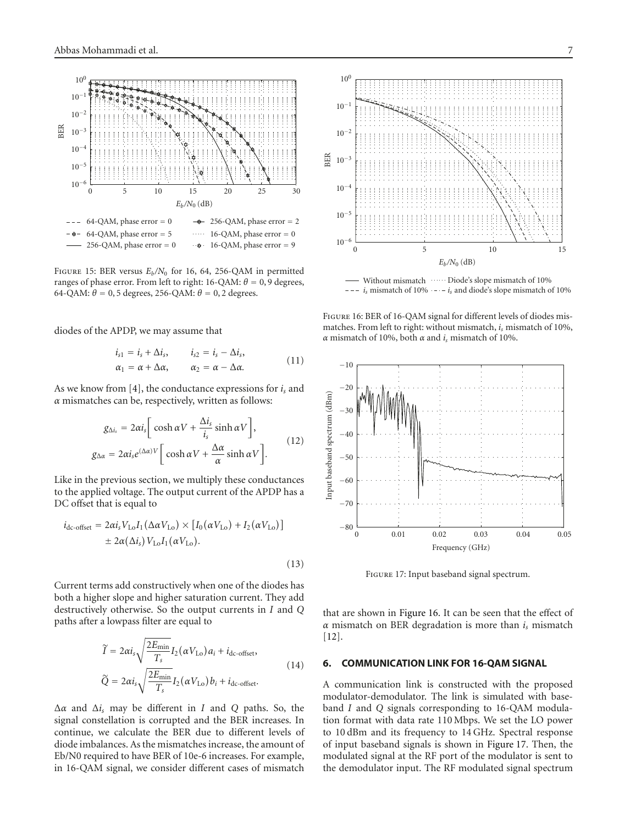

<span id="page-6-0"></span>FIGURE 15: BER versus  $E_b/N_0$  for 16, 64, 256-QAM in permitted ranges of phase error. From left to right: 16-QAM:  $θ = 0,9$  degrees, 64-QAM:  $\theta$  = 0, 5 degrees, 256-QAM:  $\theta$  = 0, 2 degrees.

diodes of the APDP, we may assume that

$$
i_{s1} = i_s + \Delta i_s, \qquad i_{s2} = i_s - \Delta i_s, \n\alpha_1 = \alpha + \Delta \alpha, \qquad \alpha_2 = \alpha - \Delta \alpha.
$$
\n(11)

As we know from [\[4\]](#page-8-4), the conductance expressions for *is* and *α* mismatches can be, respectively, written as follows:

$$
g_{\Delta i_s} = 2\alpha i_s \left[ \cosh \alpha V + \frac{\Delta i_s}{i_s} \sinh \alpha V \right],
$$
  
\n
$$
g_{\Delta \alpha} = 2\alpha i_s e^{(\Delta \alpha)V} \left[ \cosh \alpha V + \frac{\Delta \alpha}{\alpha} \sinh \alpha V \right].
$$
\n(12)

Like in the previous section, we multiply these conductances to the applied voltage. The output current of the APDP has a DC offset that is equal to

$$
i_{\text{dc-offset}} = 2\alpha i_s V_{\text{Lo}} I_1(\Delta \alpha V_{\text{Lo}}) \times [I_0(\alpha V_{\text{Lo}}) + I_2(\alpha V_{\text{Lo}})]
$$
  

$$
\pm 2\alpha (\Delta i_s) V_{\text{Lo}} I_1(\alpha V_{\text{Lo}}).
$$
 (13)

Current terms add constructively when one of the diodes has both a higher slope and higher saturation current. They add destructively otherwise. So the output currents in *I* and *Q* paths after a lowpass filter are equal to

$$
\widetilde{I} = 2\alpha i_s \sqrt{\frac{2E_{\min}}{T_s}} I_2(\alpha V_{\text{Lo}}) a_i + i_{\text{dc-offset}},
$$
\n
$$
\widetilde{Q} = 2\alpha i_s \sqrt{\frac{2E_{\min}}{T_s}} I_2(\alpha V_{\text{Lo}}) b_i + i_{\text{dc-offset}}.
$$
\n(14)

<sup>Δ</sup>*<sup>α</sup>* and <sup>Δ</sup>*is* may be different in *<sup>I</sup>* and *<sup>Q</sup>* paths. So, the signal constellation is corrupted and the BER increases. In continue, we calculate the BER due to different levels of diode imbalances. As the mismatches increase, the amount of Eb/N0 required to have BER of 10e-6 increases. For example, in 16-QAM signal, we consider different cases of mismatch



Without mismatch Diode's slope mismatch of 10%  $i_s$  mismatch of 10%  $\cdots$   $i_s$  and diode's slope mismatch of 10%

<span id="page-6-1"></span>Figure 16: BER of 16-QAM signal for different levels of diodes mismatches. From left to right: without mismatch, *is* mismatch of 10%, *<sup>α</sup>* mismatch of 10%, both *<sup>α</sup>* and *is* mismatch of 10%.



Figure 17: Input baseband signal spectrum.

<span id="page-6-2"></span>that are shown in [Figure 16.](#page-6-1) It can be seen that the effect of *<sup>α</sup>* mismatch on BER degradation is more than *is* mismatch [\[12](#page-8-12)].

# **6. COMMUNICATION LINK FOR 16-QAM SIGNAL**

A communication link is constructed with the proposed modulator-demodulator. The link is simulated with baseband *I* and *Q* signals corresponding to 16-QAM modulation format with data rate 110 Mbps. We set the LO power to 10 dBm and its frequency to 14 GHz. Spectral response of input baseband signals is shown in [Figure 17.](#page-6-2) Then, the modulated signal at the RF port of the modulator is sent to the demodulator input. The RF modulated signal spectrum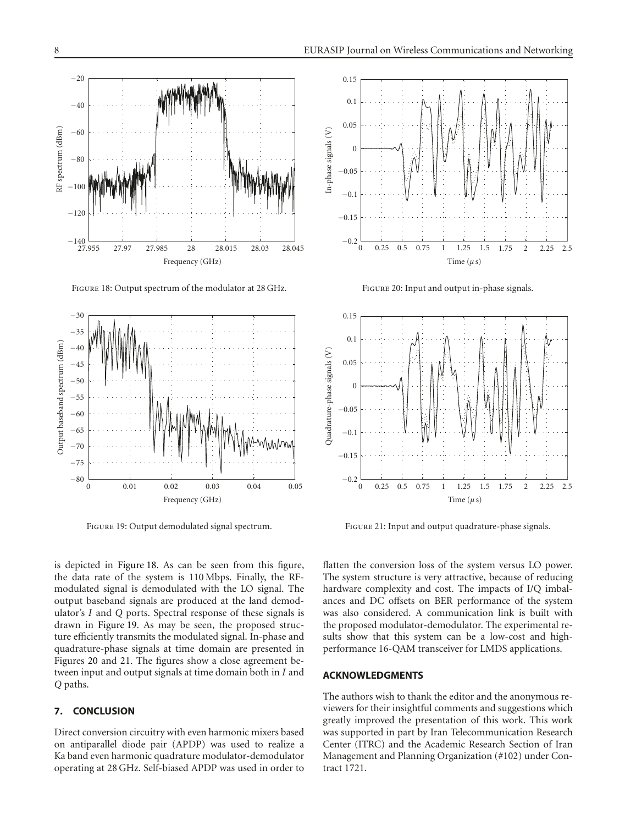

Figure 18: Output spectrum of the modulator at 28 GHz.

<span id="page-7-0"></span>

Figure 19: Output demodulated signal spectrum.

<span id="page-7-1"></span>is depicted in [Figure 18.](#page-7-0) As can be seen from this figure, the data rate of the system is 110 Mbps. Finally, the RFmodulated signal is demodulated with the LO signal. The output baseband signals are produced at the land demodulator's *I* and *Q* ports. Spectral response of these signals is drawn in [Figure 19.](#page-7-1) As may be seen, the proposed structure efficiently transmits the modulated signal. In-phase and quadrature-phase signals at time domain are presented in Figures [20](#page-7-2) and [21.](#page-7-3) The figures show a close agreement between input and output signals at time domain both in *I* and *Q* paths.

## **7. CONCLUSION**

Direct conversion circuitry with even harmonic mixers based on antiparallel diode pair (APDP) was used to realize a Ka band even harmonic quadrature modulator-demodulator operating at 28 GHz. Self-biased APDP was used in order to



Figure 20: Input and output in-phase signals.

<span id="page-7-2"></span>

Figure 21: Input and output quadrature-phase signals.

<span id="page-7-3"></span>flatten the conversion loss of the system versus LO power. The system structure is very attractive, because of reducing hardware complexity and cost. The impacts of I/Q imbalances and DC offsets on BER performance of the system was also considered. A communication link is built with the proposed modulator-demodulator. The experimental results show that this system can be a low-cost and highperformance 16-QAM transceiver for LMDS applications.

# **ACKNOWLEDGMENTS**

The authors wish to thank the editor and the anonymous reviewers for their insightful comments and suggestions which greatly improved the presentation of this work. This work was supported in part by Iran Telecommunication Research Center (ITRC) and the Academic Research Section of Iran Management and Planning Organization (#102) under Contract 1721.